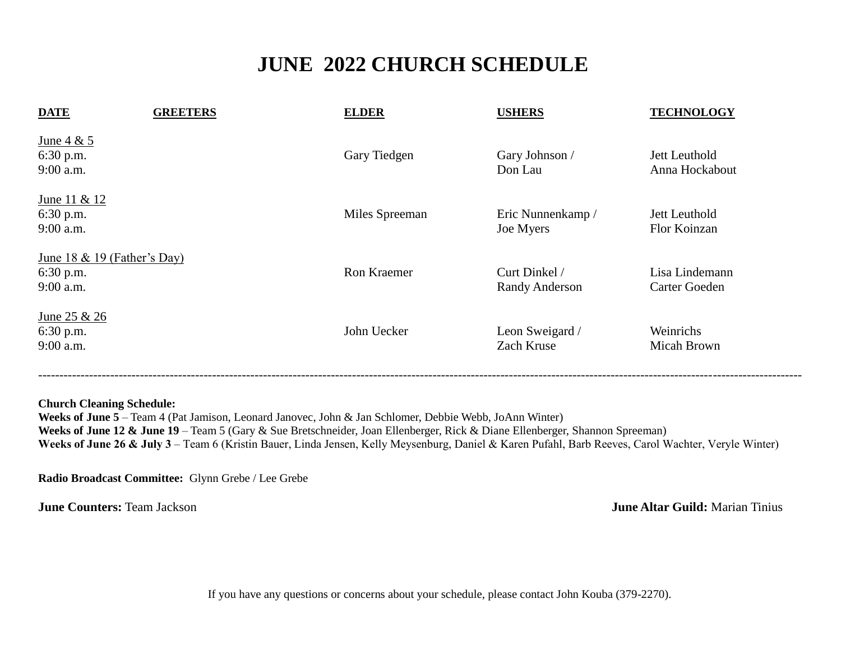## **JUNE 2022 CHURCH SCHEDULE**

| <b>DATE</b>                                               | <b>GREETERS</b> | <b>ELDER</b>       | <b>USHERS</b>                          | <b>TECHNOLOGY</b>               |
|-----------------------------------------------------------|-----------------|--------------------|----------------------------------------|---------------------------------|
| June $4 & 5$<br>6:30 p.m.<br>$9:00$ a.m.                  |                 | Gary Tiedgen       | Gary Johnson /<br>Don Lau              | Jett Leuthold<br>Anna Hockabout |
| <u>June 11 &amp; 12</u><br>6:30 p.m.<br>9:00 a.m.         |                 | Miles Spreeman     | Eric Nunnenkamp /<br>Joe Myers         | Jett Leuthold<br>Flor Koinzan   |
| June 18 & 19 (Father's Day)<br>$6:30$ p.m.<br>$9:00$ a.m. |                 | <b>Ron Kraemer</b> | Curt Dinkel /<br><b>Randy Anderson</b> | Lisa Lindemann<br>Carter Goeden |
| <u>June 25 &amp; 26</u><br>6:30 p.m.<br>$9:00$ a.m.       |                 | John Uecker        | Leon Sweigard /<br>Zach Kruse          | Weinrichs<br>Micah Brown        |

## **Church Cleaning Schedule:**

**Weeks of June 5** – Team 4 (Pat Jamison, Leonard Janovec, John & Jan Schlomer, Debbie Webb, JoAnn Winter) Weeks of June 12 & June 19 – Team 5 (Gary & Sue Bretschneider, Joan Ellenberger, Rick & Diane Ellenberger, Shannon Spreeman) **Weeks of June 26 & July 3** – Team 6 (Kristin Bauer, Linda Jensen, Kelly Meysenburg, Daniel & Karen Pufahl, Barb Reeves, Carol Wachter, Veryle Winter)

**Radio Broadcast Committee:** Glynn Grebe / Lee Grebe

**June Counters:** Team Jackson **June Altar Guild: Marian Tinius**